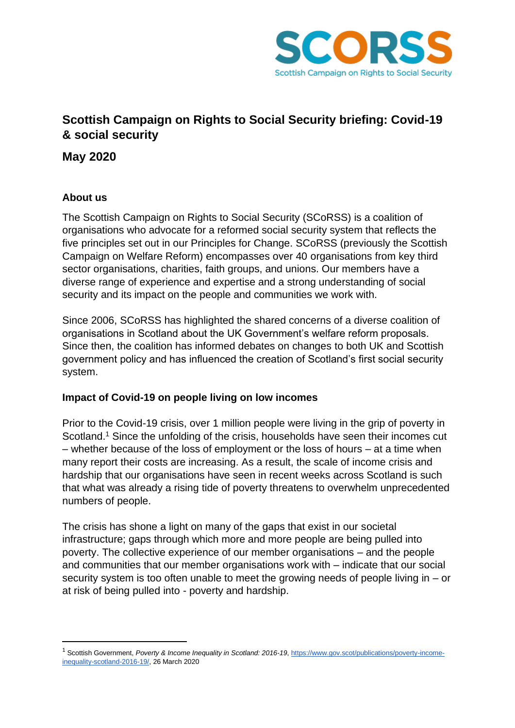

# **Scottish Campaign on Rights to Social Security briefing: Covid-19 & social security**

**May 2020**

## **About us**

The Scottish Campaign on Rights to Social Security (SCoRSS) is a coalition of organisations who advocate for a reformed social security system that reflects the five principles set out in our Principles for Change. SCoRSS (previously the Scottish Campaign on Welfare Reform) encompasses over 40 organisations from key third sector organisations, charities, faith groups, and unions. Our members have a diverse range of experience and expertise and a strong understanding of social security and its impact on the people and communities we work with.

Since 2006, SCoRSS has highlighted the shared concerns of a diverse coalition of organisations in Scotland about the UK Government's welfare reform proposals. Since then, the coalition has informed debates on changes to both UK and Scottish government policy and has influenced the creation of Scotland's first social security system.

## **Impact of Covid-19 on people living on low incomes**

Prior to the Covid-19 crisis, over 1 million people were living in the grip of poverty in Scotland.<sup>1</sup> Since the unfolding of the crisis, households have seen their incomes cut – whether because of the loss of employment or the loss of hours – at a time when many report their costs are increasing. As a result, the scale of income crisis and hardship that our organisations have seen in recent weeks across Scotland is such that what was already a rising tide of poverty threatens to overwhelm unprecedented numbers of people.

The crisis has shone a light on many of the gaps that exist in our societal infrastructure; gaps through which more and more people are being pulled into poverty. The collective experience of our member organisations – and the people and communities that our member organisations work with – indicate that our social security system is too often unable to meet the growing needs of people living in – or at risk of being pulled into - poverty and hardship.

<sup>&</sup>lt;sup>1</sup> Scottish Government, Poverty & Income Inequality in Scotland: 2016-19[, https://www.gov.scot/publications/poverty-income](https://www.gov.scot/publications/poverty-income-inequality-scotland-2016-19/)[inequality-scotland-2016-19/,](https://www.gov.scot/publications/poverty-income-inequality-scotland-2016-19/) 26 March 2020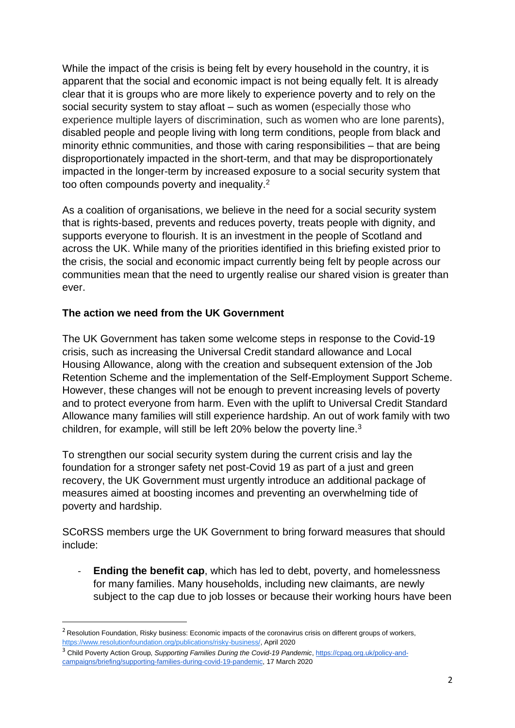While the impact of the crisis is being felt by every household in the country, it is apparent that the social and economic impact is not being equally felt. It is already clear that it is groups who are more likely to experience poverty and to rely on the social security system to stay afloat – such as women (especially those who experience multiple layers of discrimination, such as women who are lone parents), disabled people and people living with long term conditions, people from black and minority ethnic communities, and those with caring responsibilities – that are being disproportionately impacted in the short-term, and that may be disproportionately impacted in the longer-term by increased exposure to a social security system that too often compounds poverty and inequality.<sup>2</sup>

As a coalition of organisations, we believe in the need for a social security system that is rights-based, prevents and reduces poverty, treats people with dignity, and supports everyone to flourish. It is an investment in the people of Scotland and across the UK. While many of the priorities identified in this briefing existed prior to the crisis, the social and economic impact currently being felt by people across our communities mean that the need to urgently realise our shared vision is greater than ever.

## **The action we need from the UK Government**

The UK Government has taken some welcome steps in response to the Covid-19 crisis, such as increasing the Universal Credit standard allowance and Local Housing Allowance, along with the creation and subsequent extension of the Job Retention Scheme and the implementation of the Self-Employment Support Scheme. However, these changes will not be enough to prevent increasing levels of poverty and to protect everyone from harm. Even with the uplift to Universal Credit Standard Allowance many families will still experience hardship. An out of work family with two children, for example, will still be left 20% below the poverty line.<sup>3</sup>

To strengthen our social security system during the current crisis and lay the foundation for a stronger safety net post-Covid 19 as part of a just and green recovery, the UK Government must urgently introduce an additional package of measures aimed at boosting incomes and preventing an overwhelming tide of poverty and hardship.

SCoRSS members urge the UK Government to bring forward measures that should include:

**Ending the benefit cap**, which has led to debt, poverty, and homelessness for many families. Many households, including new claimants, are newly subject to the cap due to job losses or because their working hours have been

<sup>&</sup>lt;sup>2</sup> Resolution Foundation, Risky business: Economic impacts of the coronavirus crisis on different groups of workers, [https://www.resolutionfoundation.org/publications/risky-business/,](https://www.resolutionfoundation.org/publications/risky-business/) April 2020

<sup>&</sup>lt;sup>3</sup> Child Poverty Action Group, Supporting Families During the Covid-19 Pandemic[, https://cpag.org.uk/policy-and](https://cpag.org.uk/policy-and-campaigns/briefing/supporting-families-during-covid-19-pandemic)[campaigns/briefing/supporting-families-during-covid-19-pandemic,](https://cpag.org.uk/policy-and-campaigns/briefing/supporting-families-during-covid-19-pandemic) 17 March 2020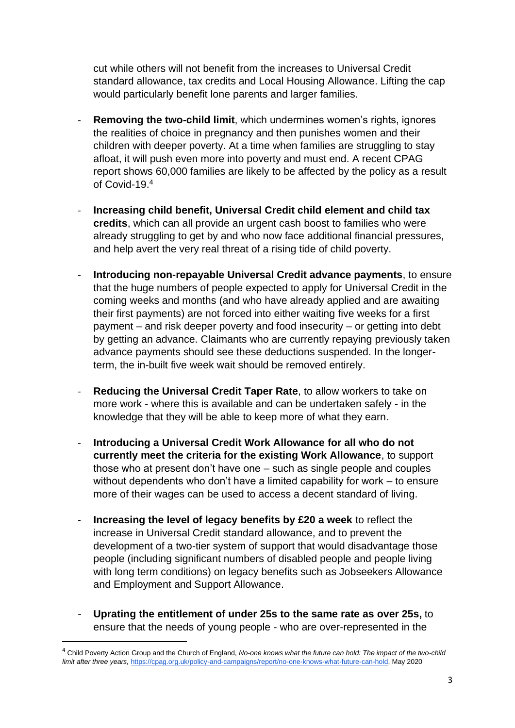cut while others will not benefit from the increases to Universal Credit standard allowance, tax credits and Local Housing Allowance. Lifting the cap would particularly benefit lone parents and larger families.

- **Removing the two-child limit**, which undermines women's rights, ignores the realities of choice in pregnancy and then punishes women and their children with deeper poverty. At a time when families are struggling to stay afloat, it will push even more into poverty and must end. A recent CPAG report shows 60,000 families are likely to be affected by the policy as a result of Covid-19.<sup>4</sup>
- **Increasing child benefit, Universal Credit child element and child tax credits**, which can all provide an urgent cash boost to families who were already struggling to get by and who now face additional financial pressures, and help avert the very real threat of a rising tide of child poverty.
- **Introducing non-repayable Universal Credit advance payments**, to ensure that the huge numbers of people expected to apply for Universal Credit in the coming weeks and months (and who have already applied and are awaiting their first payments) are not forced into either waiting five weeks for a first payment – and risk deeper poverty and food insecurity – or getting into debt by getting an advance. Claimants who are currently repaying previously taken advance payments should see these deductions suspended. In the longerterm, the in-built five week wait should be removed entirely.
- **Reducing the Universal Credit Taper Rate**, to allow workers to take on more work - where this is available and can be undertaken safely - in the knowledge that they will be able to keep more of what they earn.
- **Introducing a Universal Credit Work Allowance for all who do not currently meet the criteria for the existing Work Allowance**, to support those who at present don't have one – such as single people and couples without dependents who don't have a limited capability for work – to ensure more of their wages can be used to access a decent standard of living.
- **Increasing the level of legacy benefits by £20 a week** to reflect the increase in Universal Credit standard allowance, and to prevent the development of a two-tier system of support that would disadvantage those people (including significant numbers of disabled people and people living with long term conditions) on legacy benefits such as Jobseekers Allowance and Employment and Support Allowance.
- **Uprating the entitlement of under 25s to the same rate as over 25s,** to ensure that the needs of young people - who are over-represented in the

<sup>4</sup> Child Poverty Action Group and the Church of England, *No-one knows what the future can hold: The impact of the two-child limit after three years,* [https://cpag.org.uk/policy-and-campaigns/report/no-one-knows-what-future-can-hold,](https://cpag.org.uk/policy-and-campaigns/report/no-one-knows-what-future-can-hold) May 2020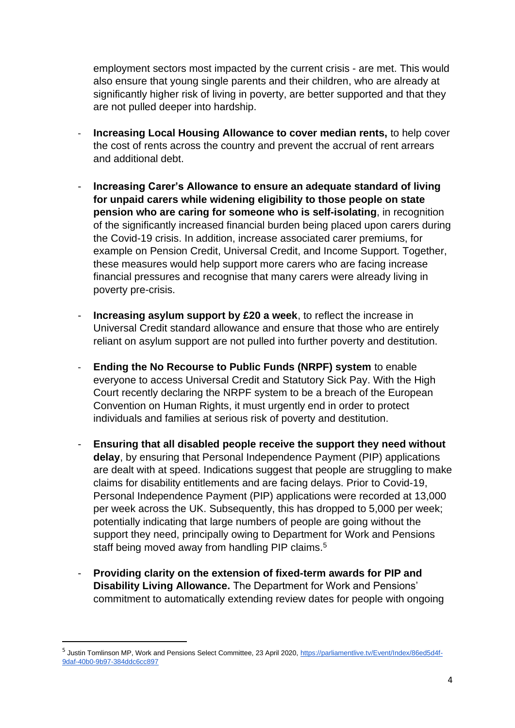employment sectors most impacted by the current crisis - are met. This would also ensure that young single parents and their children, who are already at significantly higher risk of living in poverty, are better supported and that they are not pulled deeper into hardship.

- **Increasing Local Housing Allowance to cover median rents,** to help cover the cost of rents across the country and prevent the accrual of rent arrears and additional debt.
- **Increasing Carer's Allowance to ensure an adequate standard of living for unpaid carers while widening eligibility to those people on state pension who are caring for someone who is self-isolating**, in recognition of the significantly increased financial burden being placed upon carers during the Covid-19 crisis. In addition, increase associated carer premiums, for example on Pension Credit, Universal Credit, and Income Support. Together, these measures would help support more carers who are facing increase financial pressures and recognise that many carers were already living in poverty pre-crisis.
- **Increasing asylum support by £20 a week**, to reflect the increase in Universal Credit standard allowance and ensure that those who are entirely reliant on asylum support are not pulled into further poverty and destitution.
- **Ending the No Recourse to Public Funds (NRPF) system** to enable everyone to access Universal Credit and Statutory Sick Pay. With the High Court recently declaring the NRPF system to be a breach of the European Convention on Human Rights, it must urgently end in order to protect individuals and families at serious risk of poverty and destitution.
- **Ensuring that all disabled people receive the support they need without delay**, by ensuring that Personal Independence Payment (PIP) applications are dealt with at speed. Indications suggest that people are struggling to make claims for disability entitlements and are facing delays. Prior to Covid-19, Personal Independence Payment (PIP) applications were recorded at 13,000 per week across the UK. Subsequently, this has dropped to 5,000 per week; potentially indicating that large numbers of people are going without the support they need, principally owing to Department for Work and Pensions staff being moved away from handling PIP claims.<sup>5</sup>
- **Providing clarity on the extension of fixed-term awards for PIP and Disability Living Allowance.** The Department for Work and Pensions' commitment to automatically extending review dates for people with ongoing

<sup>&</sup>lt;sup>5</sup> Justin Tomlinson MP, Work and Pensions Select Committee, 23 April 2020, [https://parliamentlive.tv/Event/Index/86ed5d4f-](https://parliamentlive.tv/Event/Index/86ed5d4f-9daf-40b0-9b97-384ddc6cc897)[9daf-40b0-9b97-384ddc6cc897](https://parliamentlive.tv/Event/Index/86ed5d4f-9daf-40b0-9b97-384ddc6cc897)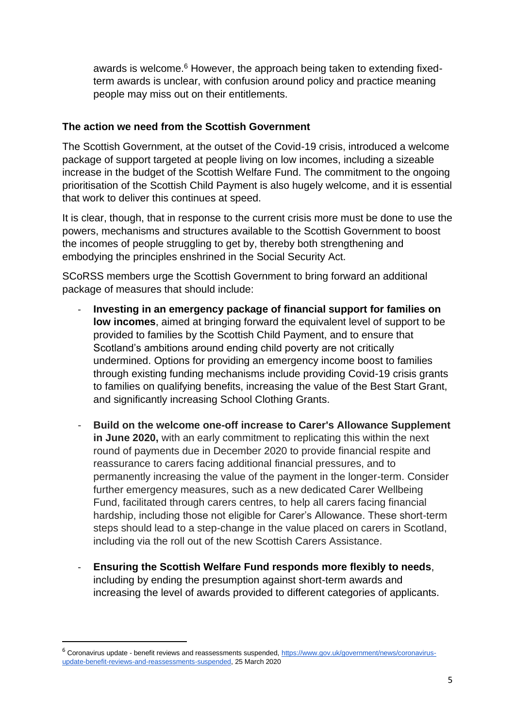awards is welcome.<sup>6</sup> However, the approach being taken to extending fixedterm awards is unclear, with confusion around policy and practice meaning people may miss out on their entitlements.

#### **The action we need from the Scottish Government**

The Scottish Government, at the outset of the Covid-19 crisis, introduced a welcome package of support targeted at people living on low incomes, including a sizeable increase in the budget of the Scottish Welfare Fund. The commitment to the ongoing prioritisation of the Scottish Child Payment is also hugely welcome, and it is essential that work to deliver this continues at speed.

It is clear, though, that in response to the current crisis more must be done to use the powers, mechanisms and structures available to the Scottish Government to boost the incomes of people struggling to get by, thereby both strengthening and embodying the principles enshrined in the Social Security Act.

SCoRSS members urge the Scottish Government to bring forward an additional package of measures that should include:

- **Investing in an emergency package of financial support for families on low incomes**, aimed at bringing forward the equivalent level of support to be provided to families by the Scottish Child Payment, and to ensure that Scotland's ambitions around ending child poverty are not critically undermined. Options for providing an emergency income boost to families through existing funding mechanisms include providing Covid-19 crisis grants to families on qualifying benefits, increasing the value of the Best Start Grant, and significantly increasing School Clothing Grants.
- **Build on the welcome one-off increase to Carer's Allowance Supplement in June 2020,** with an early commitment to replicating this within the next round of payments due in December 2020 to provide financial respite and reassurance to carers facing additional financial pressures, and to permanently increasing the value of the payment in the longer-term. Consider further emergency measures, such as a new dedicated Carer Wellbeing Fund, facilitated through carers centres, to help all carers facing financial hardship, including those not eligible for Carer's Allowance. These short-term steps should lead to a step-change in the value placed on carers in Scotland, including via the roll out of the new Scottish Carers Assistance.
- **Ensuring the Scottish Welfare Fund responds more flexibly to needs**, including by ending the presumption against short-term awards and increasing the level of awards provided to different categories of applicants.

<sup>&</sup>lt;sup>6</sup> Coronavirus update - benefit reviews and reassessments suspended[, https://www.gov.uk/government/news/coronavirus](https://www.gov.uk/government/news/coronavirus-update-benefit-reviews-and-reassessments-suspended)[update-benefit-reviews-and-reassessments-suspended,](https://www.gov.uk/government/news/coronavirus-update-benefit-reviews-and-reassessments-suspended) 25 March 2020